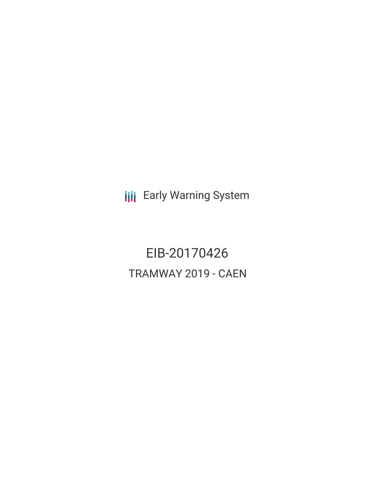**III** Early Warning System

EIB-20170426 TRAMWAY 2019 - CAEN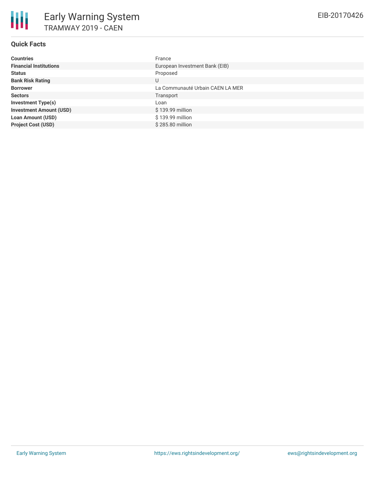# **Quick Facts**

| <b>Countries</b>               | France                           |
|--------------------------------|----------------------------------|
| <b>Financial Institutions</b>  | European Investment Bank (EIB)   |
| <b>Status</b>                  | Proposed                         |
| <b>Bank Risk Rating</b>        | U                                |
| <b>Borrower</b>                | La Communauté Urbain CAEN LA MER |
| <b>Sectors</b>                 | Transport                        |
| <b>Investment Type(s)</b>      | Loan                             |
| <b>Investment Amount (USD)</b> | $$139.99$ million                |
| <b>Loan Amount (USD)</b>       | \$139.99 million                 |
| <b>Project Cost (USD)</b>      | \$285,80 million                 |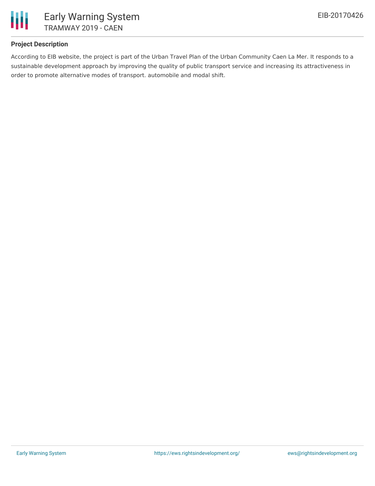

# **Project Description**

According to EIB website, the project is part of the Urban Travel Plan of the Urban Community Caen La Mer. It responds to a sustainable development approach by improving the quality of public transport service and increasing its attractiveness in order to promote alternative modes of transport. automobile and modal shift.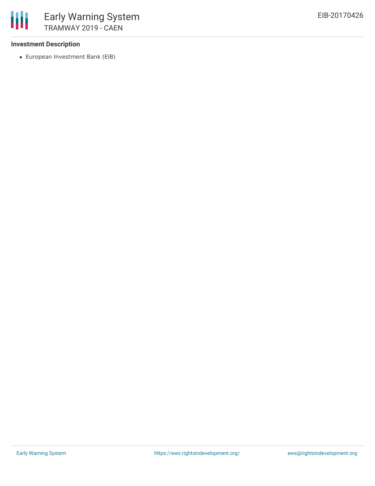### **Investment Description**

European Investment Bank (EIB)